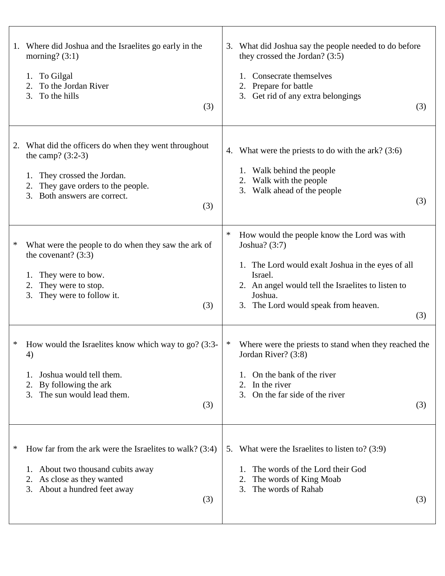| Where did Joshua and the Israelites go early in the<br>1.<br>morning? $(3:1)$<br>To Gilgal<br>1.<br>To the Jordan River<br>2.<br>3.<br>To the hills<br>(3)                                           | What did Joshua say the people needed to do before<br>3.<br>they crossed the Jordan? (3:5)<br>Consecrate themselves<br>Prepare for battle<br>2.<br>3. Get rid of any extra belongings<br>(3)                                                             |
|------------------------------------------------------------------------------------------------------------------------------------------------------------------------------------------------------|----------------------------------------------------------------------------------------------------------------------------------------------------------------------------------------------------------------------------------------------------------|
| What did the officers do when they went throughout<br>2.<br>the camp? $(3:2-3)$<br>They crossed the Jordan.<br>1.<br>They gave orders to the people.<br>2.<br>Both answers are correct.<br>3.<br>(3) | 4. What were the priests to do with the ark? (3:6)<br>1. Walk behind the people<br>Walk with the people<br>2.<br>3. Walk ahead of the people<br>(3)                                                                                                      |
| $\ast$<br>What were the people to do when they saw the ark of<br>the covenant? $(3:3)$<br>They were to bow.<br>They were to stop.<br>2.<br>They were to follow it.<br>3.<br>(3)                      | $\ast$<br>How would the people know the Lord was with<br>Joshua? $(3:7)$<br>1. The Lord would exalt Joshua in the eyes of all<br>Israel.<br>2. An angel would tell the Israelites to listen to<br>Joshua.<br>3. The Lord would speak from heaven.<br>(3) |
| *<br>How would the Israelites know which way to go? (3:3-<br>4)<br>Joshua would tell them.<br>By following the ark<br>2.<br>The sun would lead them.<br>3.<br>(3)                                    | Where were the priests to stand when they reached the<br>$\ast$<br>Jordan River? (3:8)<br>On the bank of the river<br>In the river<br>2.<br>On the far side of the river<br>3.<br>(3)                                                                    |
| ∗<br>How far from the ark were the Israelites to walk? $(3:4)$<br>1. About two thousand cubits away<br>As close as they wanted<br>2.<br>About a hundred feet away<br>3.<br>(3)                       | 5. What were the Israelites to listen to? (3:9)<br>The words of the Lord their God<br>The words of King Moab<br>2.<br>The words of Rahab<br>3.<br>(3)                                                                                                    |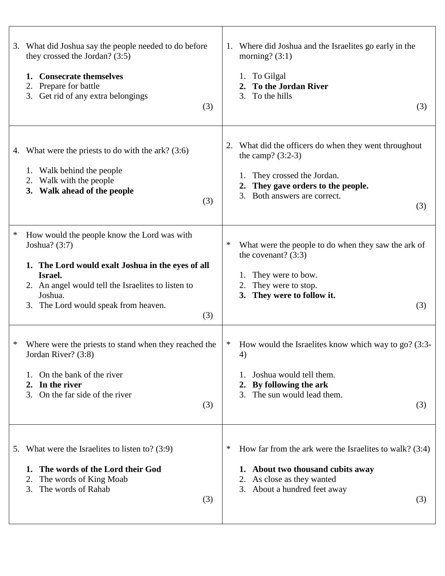| 3.     | What did Joshua say the people needed to do before<br>they crossed the Jordan? $(3:5)$<br><b>Consecrate themselves</b><br>1.<br>Prepare for battle<br>2.<br>Get rid of any extra belongings<br>3.<br>(3)                                     | Where did Joshua and the Israelites go early in the<br>1.<br>morning? $(3:1)$<br>To Gilgal<br>1.<br><b>To the Jordan River</b><br>To the hills<br>3.<br>(3)                                    |
|--------|----------------------------------------------------------------------------------------------------------------------------------------------------------------------------------------------------------------------------------------------|------------------------------------------------------------------------------------------------------------------------------------------------------------------------------------------------|
|        | 4. What were the priests to do with the ark? (3:6)<br>1. Walk behind the people<br>Walk with the people<br>2.<br>3. Walk ahead of the people<br>(3)                                                                                          | What did the officers do when they went throughout<br>2.<br>the camp? $(3:2-3)$<br>They crossed the Jordan.<br>1.<br>They gave orders to the people.<br>Both answers are correct.<br>3.<br>(3) |
| $\ast$ | How would the people know the Lord was with<br>Joshua? (3:7)<br>1. The Lord would exalt Joshua in the eyes of all<br>Israel.<br>2. An angel would tell the Israelites to listen to<br>Joshua.<br>3. The Lord would speak from heaven.<br>(3) | ∗<br>What were the people to do when they saw the ark of<br>the covenant? $(3:3)$<br>They were to bow.<br>They were to stop.<br>2.<br>They were to follow it.<br>3.<br>(3)                     |
|        | Where were the priests to stand when they reached the<br>Jordan River? (3:8)<br>On the bank of the river<br>In the river<br>2.<br>On the far side of the river<br>3.<br>(3)                                                                  | How would the Israelites know which way to go? (3:3-<br>∗<br>4)<br>Joshua would tell them.<br>By following the ark<br>$2_{\cdot}$<br>The sun would lead them.<br>3.<br>(3)                     |
|        | 5. What were the Israelites to listen to? $(3.9)$<br>The words of the Lord their God<br>1.<br>The words of King Moab<br>2.<br>The words of Rahab<br>3.<br>(3)                                                                                | How far from the ark were the Israelites to walk? $(3:4)$<br>∗<br>1. About two thousand cubits away<br>2. As close as they wanted<br>3. About a hundred feet away<br>(3)                       |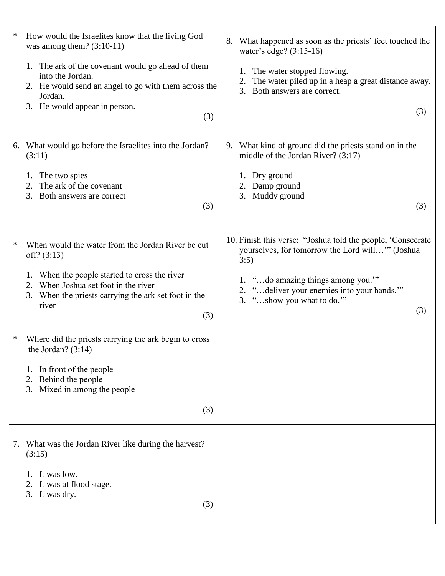| ∗  | How would the Israelites know that the living God<br>was among them? $(3:10-11)$                                                                       | 8. What happened as soon as the priests' feet touched the<br>water's edge? (3:15-16)                                    |
|----|--------------------------------------------------------------------------------------------------------------------------------------------------------|-------------------------------------------------------------------------------------------------------------------------|
|    | 1. The ark of the covenant would go ahead of them<br>into the Jordan.<br>2. He would send an angel to go with them across the<br>Jordan.               | 1. The water stopped flowing.<br>The water piled up in a heap a great distance away.<br>Both answers are correct.<br>3. |
|    | 3. He would appear in person.<br>(3)                                                                                                                   | (3)                                                                                                                     |
| 6. | What would go before the Israelites into the Jordan?<br>(3:11)                                                                                         | 9. What kind of ground did the priests stand on in the<br>middle of the Jordan River? $(3:17)$                          |
|    | The two spies<br>1.<br>The ark of the covenant<br>2.<br>3. Both answers are correct                                                                    | 1. Dry ground<br>Damp ground<br>Muddy ground<br>3.                                                                      |
|    | (3)                                                                                                                                                    | (3)                                                                                                                     |
| ∗  | When would the water from the Jordan River be cut<br>off? $(3:13)$                                                                                     | 10. Finish this verse: "Joshua told the people, 'Consecrate<br>yourselves, for tomorrow the Lord will" (Joshua<br>3:5)  |
|    | 1. When the people started to cross the river<br>2. When Joshua set foot in the river<br>3. When the priests carrying the ark set foot in the<br>river | 1. "do amazing things among you."<br>2. "deliver your enemies into your hands.""<br>3. "show you what to do."           |
|    | (3)                                                                                                                                                    | (3)                                                                                                                     |
| ∗  | Where did the priests carrying the ark begin to cross<br>the Jordan? $(3:14)$                                                                          |                                                                                                                         |
|    | 1. In front of the people<br>Behind the people<br>2.<br>Mixed in among the people<br>3.                                                                |                                                                                                                         |
|    | (3)                                                                                                                                                    |                                                                                                                         |
|    | 7. What was the Jordan River like during the harvest?<br>(3:15)                                                                                        |                                                                                                                         |
|    | It was low.<br>It was at flood stage.<br>2.<br>3. It was dry.<br>(3)                                                                                   |                                                                                                                         |
|    |                                                                                                                                                        |                                                                                                                         |